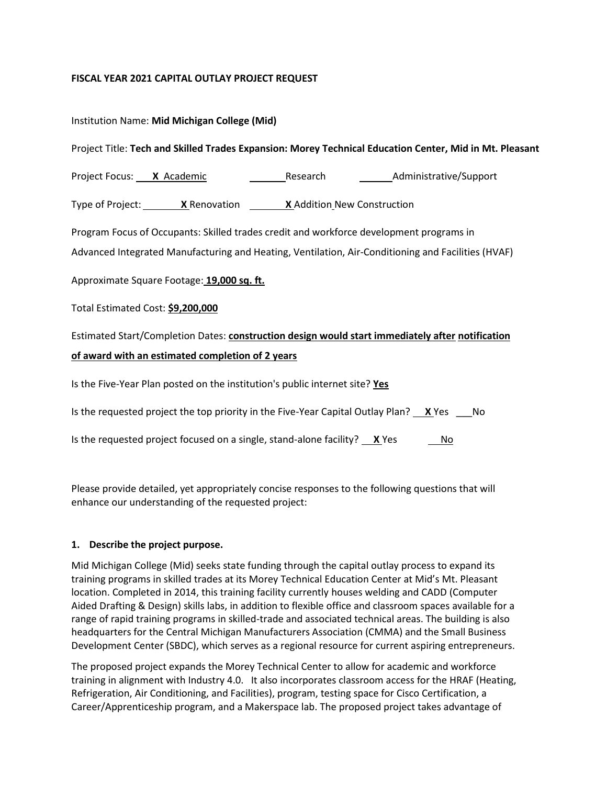### **FISCAL YEAR 2021 CAPITAL OUTLAY PROJECT REQUEST**

|                                                                                                         | Institution Name: Mid Michigan College (Mid) |          |                        |  |  |  |
|---------------------------------------------------------------------------------------------------------|----------------------------------------------|----------|------------------------|--|--|--|
| Project Title: Tech and Skilled Trades Expansion: Morey Technical Education Center, Mid in Mt. Pleasant |                                              |          |                        |  |  |  |
| Project Focus: X Academic                                                                               |                                              | Research | Administrative/Support |  |  |  |

Type of Project: **X** Renovation **X** Addition New Construction

Program Focus of Occupants: Skilled trades credit and workforce development programs in

Advanced Integrated Manufacturing and Heating, Ventilation, Air-Conditioning and Facilities (HVAF)

Approximate Square Footage: **19,000 sq. ft.**

Total Estimated Cost: **\$9,200,000**

Estimated Start/Completion Dates: **construction design would start immediately after notification of award with an estimated completion of 2 years**

Is the Five-Year Plan posted on the institution's public internet site? **Yes**

Is the requested project the top priority in the Five-Year Capital Outlay Plan? **X** Yes No

Is the requested project focused on a single, stand-alone facility?  $X$  Yes  $N_0$ 

Please provide detailed, yet appropriately concise responses to the following questions that will enhance our understanding of the requested project:

#### **1. Describe the project purpose.**

Mid Michigan College (Mid) seeks state funding through the capital outlay process to expand its training programs in skilled trades at its Morey Technical Education Center at Mid's Mt. Pleasant location. Completed in 2014, this training facility currently houses welding and CADD (Computer Aided Drafting & Design) skills labs, in addition to flexible office and classroom spaces available for a range of rapid training programs in skilled-trade and associated technical areas. The building is also headquarters for the Central Michigan Manufacturers Association (CMMA) and the Small Business Development Center (SBDC), which serves as a regional resource for current aspiring entrepreneurs.

The proposed project expands the Morey Technical Center to allow for academic and workforce training in alignment with Industry 4.0. It also incorporates classroom access for the HRAF (Heating, Refrigeration, Air Conditioning, and Facilities), program, testing space for Cisco Certification, a Career/Apprenticeship program, and a Makerspace lab. The proposed project takes advantage of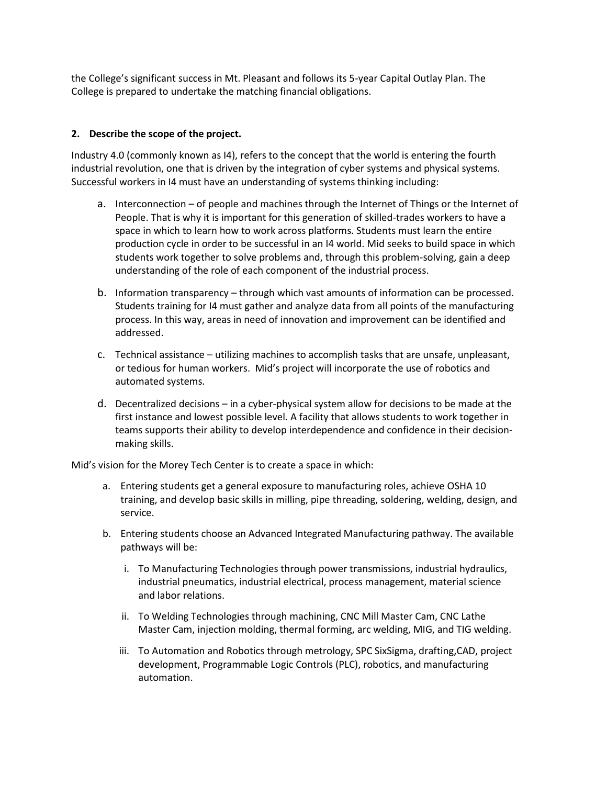the College's significant success in Mt. Pleasant and follows its 5-year Capital Outlay Plan. The College is prepared to undertake the matching financial obligations.

## **2. Describe the scope of the project.**

Industry 4.0 (commonly known as I4), refers to the concept that the world is entering the fourth industrial revolution, one that is driven by the integration of cyber systems and physical systems. Successful workers in I4 must have an understanding of systems thinking including:

- a. Interconnection of people and machines through the Internet of Things or the Internet of People. That is why it is important for this generation of skilled-trades workers to have a space in which to learn how to work across platforms. Students must learn the entire production cycle in order to be successful in an I4 world. Mid seeks to build space in which students work together to solve problems and, through this problem-solving, gain a deep understanding of the role of each component of the industrial process.
- b. Information transparency through which vast amounts of information can be processed. Students training for I4 must gather and analyze data from all points of the manufacturing process. In this way, areas in need of innovation and improvement can be identified and addressed.
- c. Technical assistance utilizing machines to accomplish tasks that are unsafe, unpleasant, or tedious for human workers. Mid's project will incorporate the use of robotics and automated systems.
- d. Decentralized decisions in a cyber-physical system allow for decisions to be made at the first instance and lowest possible level. A facility that allows students to work together in teams supports their ability to develop interdependence and confidence in their decisionmaking skills.

Mid's vision for the Morey Tech Center is to create a space in which:

- a. Entering students get a general exposure to manufacturing roles, achieve OSHA 10 training, and develop basic skills in milling, pipe threading, soldering, welding, design, and service.
- b. Entering students choose an Advanced Integrated Manufacturing pathway. The available pathways will be:
	- i. To Manufacturing Technologies through power transmissions, industrial hydraulics, industrial pneumatics, industrial electrical, process management, material science and labor relations.
	- ii. To Welding Technologies through machining, CNC Mill Master Cam, CNC Lathe Master Cam, injection molding, thermal forming, arc welding, MIG, and TIG welding.
	- iii. To Automation and Robotics through metrology, SPC SixSigma, drafting,CAD, project development, Programmable Logic Controls (PLC), robotics, and manufacturing automation.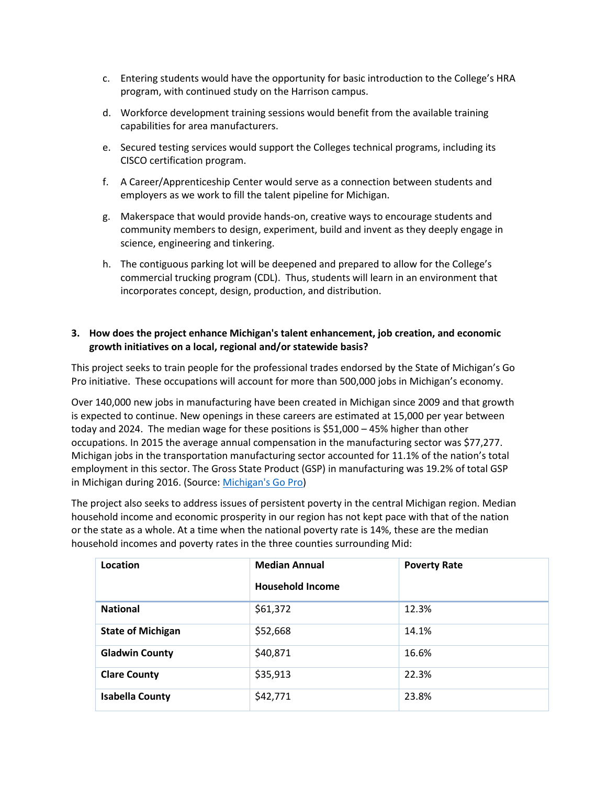- c. Entering students would have the opportunity for basic introduction to the College's HRA program, with continued study on the Harrison campus.
- d. Workforce development training sessions would benefit from the available training capabilities for area manufacturers.
- e. Secured testing services would support the Colleges technical programs, including its CISCO certification program.
- f. A Career/Apprenticeship Center would serve as a connection between students and employers as we work to fill the talent pipeline for Michigan.
- g. Makerspace that would provide hands-on, creative ways to encourage students and community members to design, experiment, build and invent as they deeply engage in science, engineering and tinkering.
- h. The contiguous parking lot will be deepened and prepared to allow for the College's commercial trucking program (CDL). Thus, students will learn in an environment that incorporates concept, design, production, and distribution.

## **3. How does the project enhance Michigan's talent enhancement, job creation, and economic growth initiatives on a local, regional and/or statewide basis?**

This project seeks to train people for the professional trades endorsed by the State of Michigan's Go Pro initiative. These occupations will account for more than 500,000 jobs in Michigan's economy.

Over 140,000 new jobs in manufacturing have been created in Michigan since 2009 and that growth is expected to continue. New openings in these careers are estimated at 15,000 per year between today and 2024. The median wage for these positions is \$51,000 – 45% higher than other occupations. In 2015 the average annual compensation in the manufacturing sector was \$77,277. Michigan jobs in the transportation manufacturing sector accounted for 11.1% of the nation's total employment in this sector. The Gross State Product (GSP) in manufacturing was 19.2% of total GSP in Michigan during 2016. (Source[: Michigan's Go Pro\)](https://www.mitalent.org/skilled-trades-advanced-manufacturing)

The project also seeks to address issues of persistent poverty in the central Michigan region. Median household income and economic prosperity in our region has not kept pace with that of the nation or the state as a whole. At a time when the national poverty rate is 14%, these are the median household incomes and poverty rates in the three counties surrounding Mid:

| Location                 | <b>Median Annual</b><br><b>Household Income</b> | <b>Poverty Rate</b> |
|--------------------------|-------------------------------------------------|---------------------|
| <b>National</b>          | \$61,372                                        | 12.3%               |
|                          |                                                 |                     |
| <b>State of Michigan</b> | \$52,668                                        | 14.1%               |
| <b>Gladwin County</b>    | \$40,871                                        | 16.6%               |
| <b>Clare County</b>      | \$35,913                                        | 22.3%               |
| <b>Isabella County</b>   | \$42,771                                        | 23.8%               |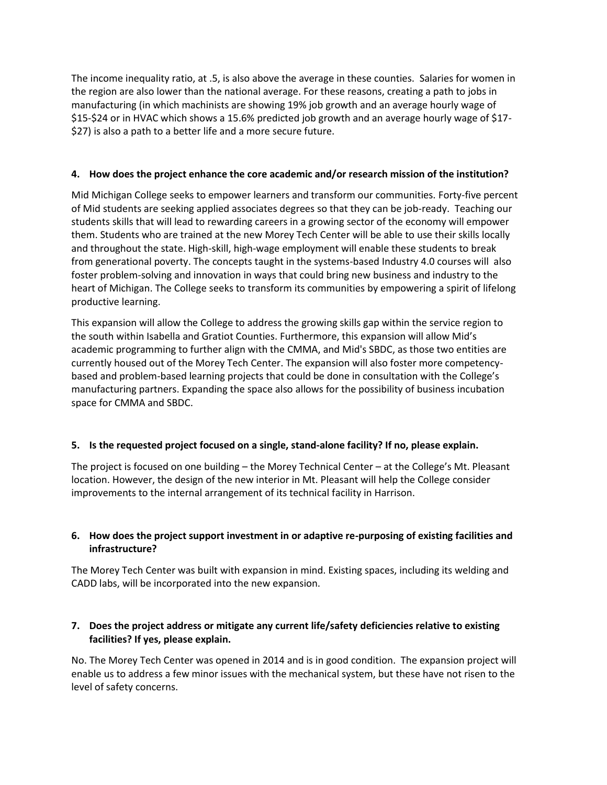The income inequality ratio, at .5, is also above the average in these counties. Salaries for women in the region are also lower than the national average. For these reasons, creating a path to jobs in manufacturing (in which machinists are showing 19% job growth and an average hourly wage of \$15-\$24 or in HVAC which shows a 15.6% predicted job growth and an average hourly wage of \$17- \$27) is also a path to a better life and a more secure future.

## **4. How does the project enhance the core academic and/or research mission of the institution?**

Mid Michigan College seeks to empower learners and transform our communities. Forty-five percent of Mid students are seeking applied associates degrees so that they can be job-ready. Teaching our students skills that will lead to rewarding careers in a growing sector of the economy will empower them. Students who are trained at the new Morey Tech Center will be able to use their skills locally and throughout the state. High-skill, high-wage employment will enable these students to break from generational poverty. The concepts taught in the systems-based Industry 4.0 courses will also foster problem-solving and innovation in ways that could bring new business and industry to the heart of Michigan. The College seeks to transform its communities by empowering a spirit of lifelong productive learning.

This expansion will allow the College to address the growing skills gap within the service region to the south within Isabella and Gratiot Counties. Furthermore, this expansion will allow Mid's academic programming to further align with the CMMA, and Mid's SBDC, as those two entities are currently housed out of the Morey Tech Center. The expansion will also foster more competencybased and problem-based learning projects that could be done in consultation with the College's manufacturing partners. Expanding the space also allows for the possibility of business incubation space for CMMA and SBDC.

#### **5. Is the requested project focused on a single, stand-alone facility? If no, please explain.**

The project is focused on one building – the Morey Technical Center – at the College's Mt. Pleasant location. However, the design of the new interior in Mt. Pleasant will help the College consider improvements to the internal arrangement of its technical facility in Harrison.

# **6. How does the project support investment in or adaptive re-purposing of existing facilities and infrastructure?**

The Morey Tech Center was built with expansion in mind. Existing spaces, including its welding and CADD labs, will be incorporated into the new expansion.

### **7. Does the project address or mitigate any current life/safety deficiencies relative to existing facilities? If yes, please explain.**

No. The Morey Tech Center was opened in 2014 and is in good condition. The expansion project will enable us to address a few minor issues with the mechanical system, but these have not risen to the level of safety concerns.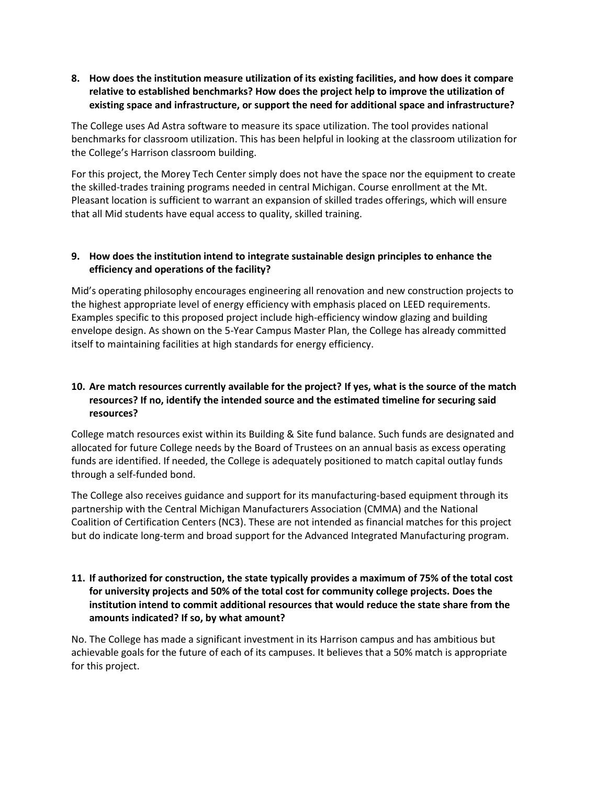### **8. How does the institution measure utilization of its existing facilities, and how does it compare relative to established benchmarks? How does the project help to improve the utilization of existing space and infrastructure, or support the need for additional space and infrastructure?**

The College uses Ad Astra software to measure its space utilization. The tool provides national benchmarks for classroom utilization. This has been helpful in looking at the classroom utilization for the College's Harrison classroom building.

For this project, the Morey Tech Center simply does not have the space nor the equipment to create the skilled-trades training programs needed in central Michigan. Course enrollment at the Mt. Pleasant location is sufficient to warrant an expansion of skilled trades offerings, which will ensure that all Mid students have equal access to quality, skilled training.

### **9. How does the institution intend to integrate sustainable design principles to enhance the efficiency and operations of the facility?**

Mid's operating philosophy encourages engineering all renovation and new construction projects to the highest appropriate level of energy efficiency with emphasis placed on LEED requirements. Examples specific to this proposed project include high-efficiency window glazing and building envelope design. As shown on the 5-Year Campus Master Plan, the College has already committed itself to maintaining facilities at high standards for energy efficiency.

# **10. Are match resources currently available for the project? If yes, what is the source of the match resources? If no, identify the intended source and the estimated timeline for securing said resources?**

College match resources exist within its Building & Site fund balance. Such funds are designated and allocated for future College needs by the Board of Trustees on an annual basis as excess operating funds are identified. If needed, the College is adequately positioned to match capital outlay funds through a self-funded bond.

The College also receives guidance and support for its manufacturing-based equipment through its partnership with the Central Michigan Manufacturers Association (CMMA) and the National Coalition of Certification Centers (NC3). These are not intended as financial matches for this project but do indicate long-term and broad support for the Advanced Integrated Manufacturing program.

# **11. If authorized for construction, the state typically provides a maximum of 75% of the total cost for university projects and 50% of the total cost for community college projects. Does the institution intend to commit additional resources that would reduce the state share from the amounts indicated? If so, by what amount?**

No. The College has made a significant investment in its Harrison campus and has ambitious but achievable goals for the future of each of its campuses. It believes that a 50% match is appropriate for this project.